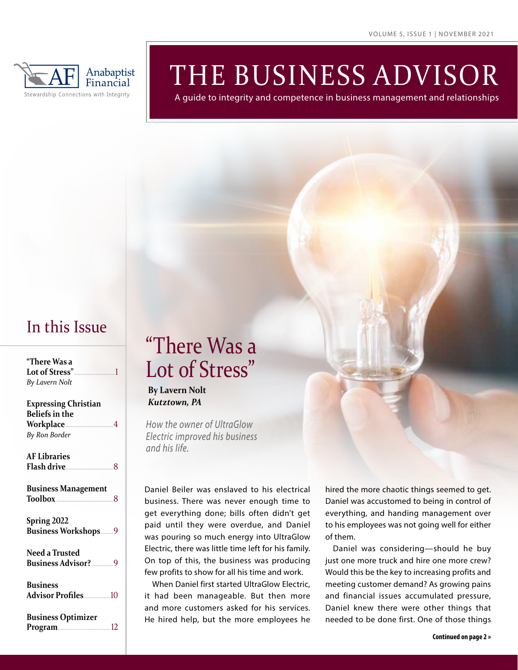

# THE BUSINESS ADVISOR

A guide to integrity and competence in business management and relationships

### In this Issue

| "There Was a<br>By Lavern Nolt                                                       |
|--------------------------------------------------------------------------------------|
| <b>Expressing Christian</b><br><b>Beliefs in the</b><br>Workplace 4<br>By Ron Border |
| <b>AF Libraries</b><br>Flash drive 8                                                 |
| <b>Business Management</b>                                                           |
| Spring 2022<br>Business Workshops9                                                   |
| Need a Trusted                                                                       |
| <b>Business</b>                                                                      |
| <b>Business Optimizer</b>                                                            |

**Program**.......................................12

# "There Was a Lot of Stress"

#### **By Lavern Nolt** *Kutztown, PA*

*How the owner of UltraGlow Electric improved his business and his life.*

Daniel Beiler was enslaved to his electrical business. There was never enough time to get everything done; bills often didn't get paid until they were overdue, and Daniel was pouring so much energy into UltraGlow Electric, there was little time left for his family. On top of this, the business was producing few profits to show for all his time and work.

When Daniel first started UltraGlow Electric, it had been manageable. But then more and more customers asked for his services. He hired help, but the more employees he

hired the more chaotic things seemed to get. Daniel was accustomed to being in control of everything, and handing management over to his employees was not going well for either of them.

Daniel was considering—should he buy just one more truck and hire one more crew? Would this be the key to increasing profits and meeting customer demand? As growing pains and financial issues accumulated pressure, Daniel knew there were other things that needed to be done first. One of those things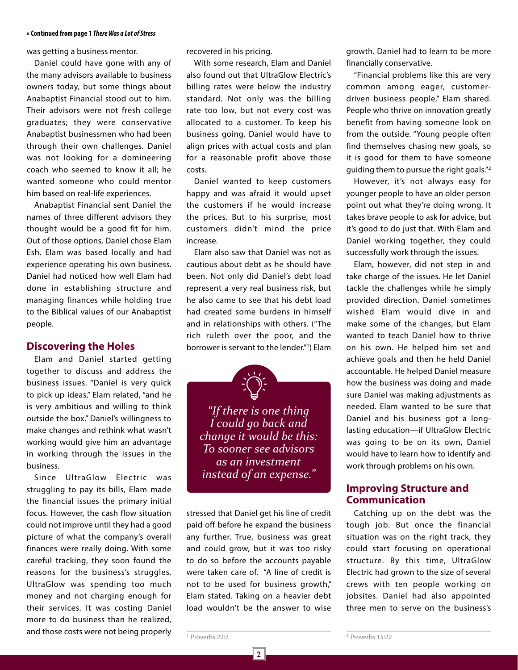#### **« Continued from page 1** *There Was a Lot of Stress*

was getting a business mentor.

Daniel could have gone with any of the many advisors available to business owners today, but some things about Anabaptist Financial stood out to him. Their advisors were not fresh college graduates; they were conservative Anabaptist businessmen who had been through their own challenges. Daniel was not looking for a domineering coach who seemed to know it all; he wanted someone who could mentor him based on real-life experiences.

Anabaptist Financial sent Daniel the names of three different advisors they thought would be a good fit for him. Out of those options, Daniel chose Elam Esh. Elam was based locally and had experience operating his own business. Daniel had noticed how well Elam had done in establishing structure and managing finances while holding true to the Biblical values of our Anabaptist people.

#### **Discovering the Holes**

Elam and Daniel started getting together to discuss and address the business issues. "Daniel is very quick to pick up ideas," Elam related, "and he is very ambitious and willing to think outside the box." Daniel's willingness to make changes and rethink what wasn't working would give him an advantage in working through the issues in the business.

Since UltraGlow Electric was struggling to pay its bills, Elam made the financial issues the primary initial focus. However, the cash flow situation could not improve until they had a good picture of what the company's overall finances were really doing. With some careful tracking, they soon found the reasons for the business's struggles. UltraGlow was spending too much money and not charging enough for their services. It was costing Daniel more to do business than he realized, and those costs were not being properly

recovered in his pricing.

With some research, Elam and Daniel also found out that UltraGlow Electric's billing rates were below the industry standard. Not only was the billing rate too low, but not every cost was allocated to a customer. To keep his business going, Daniel would have to align prices with actual costs and plan for a reasonable profit above those costs.

Daniel wanted to keep customers happy and was afraid it would upset the customers if he would increase the prices. But to his surprise, most customers didn't mind the price increase.

Elam also saw that Daniel was not as cautious about debt as he should have been. Not only did Daniel's debt load represent a very real business risk, but he also came to see that his debt load had created some burdens in himself and in relationships with others. ("The rich ruleth over the poor, and the borrower is servant to the lender."1 ) Elam

*"If there is one thing I could go back and change it would be this: To sooner see advisors as an investment instead of an expense."*

stressed that Daniel get his line of credit paid off before he expand the business any further. True, business was great and could grow, but it was too risky to do so before the accounts payable were taken care of. "A line of credit is not to be used for business growth," Elam stated. Taking on a heavier debt load wouldn't be the answer to wise

**2**

growth. Daniel had to learn to be more financially conservative.

"Financial problems like this are very common among eager, customerdriven business people," Elam shared. People who thrive on innovation greatly benefit from having someone look on from the outside. "Young people often find themselves chasing new goals, so it is good for them to have someone guiding them to pursue the right goals."2

However, it's not always easy for younger people to have an older person point out what they're doing wrong. It takes brave people to ask for advice, but it's good to do just that. With Elam and Daniel working together, they could successfully work through the issues.

Elam, however, did not step in and take charge of the issues. He let Daniel tackle the challenges while he simply provided direction. Daniel sometimes wished Elam would dive in and make some of the changes, but Elam wanted to teach Daniel how to thrive on his own. He helped him set and achieve goals and then he held Daniel accountable. He helped Daniel measure how the business was doing and made sure Daniel was making adjustments as needed. Elam wanted to be sure that Daniel and his business got a longlasting education—if UltraGlow Electric was going to be on its own, Daniel would have to learn how to identify and work through problems on his own.

#### **Improving Structure and Communication**

Catching up on the debt was the tough job. But once the financial situation was on the right track, they could start focusing on operational structure. By this time, UltraGlow Electric had grown to the size of several crews with ten people working on jobsites. Daniel had also appointed three men to serve on the business's

<sup>1</sup> Proverbs 22:7

2 Proverbs 15:22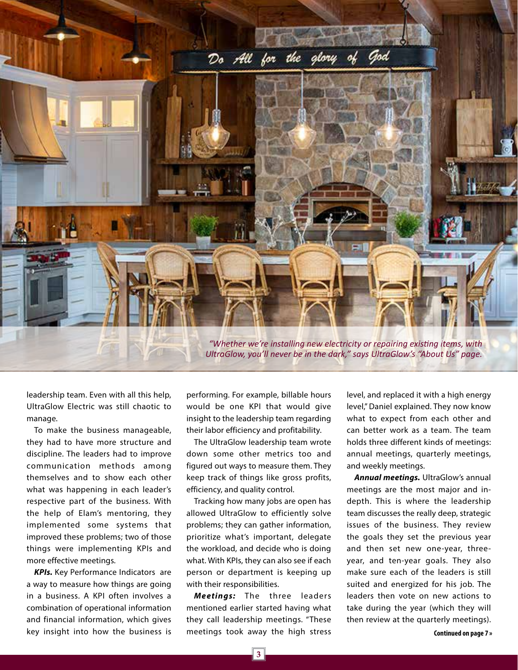

leadership team. Even with all this help, UltraGlow Electric was still chaotic to manage.

To make the business manageable, they had to have more structure and discipline. The leaders had to improve communication methods among themselves and to show each other what was happening in each leader's respective part of the business. With the help of Elam's mentoring, they implemented some systems that improved these problems; two of those things were implementing KPIs and more effective meetings.

*KPIs.* Key Performance Indicators are a way to measure how things are going in a business. A KPI often involves a combination of operational information and financial information, which gives key insight into how the business is performing. For example, billable hours would be one KPI that would give insight to the leadership team regarding their labor efficiency and profitability.

The UltraGlow leadership team wrote down some other metrics too and figured out ways to measure them. They keep track of things like gross profits, efficiency, and quality control.

Tracking how many jobs are open has allowed UltraGlow to efficiently solve problems; they can gather information, prioritize what's important, delegate the workload, and decide who is doing what. With KPIs, they can also see if each person or department is keeping up with their responsibilities.

*Meetings:* The three leaders mentioned earlier started having what they call leadership meetings. "These meetings took away the high stress level, and replaced it with a high energy level," Daniel explained. They now know what to expect from each other and can better work as a team. The team holds three different kinds of meetings: annual meetings, quarterly meetings, and weekly meetings.

*Annual meetings.* UltraGlow's annual meetings are the most major and indepth. This is where the leadership team discusses the really deep, strategic issues of the business. They review the goals they set the previous year and then set new one-year, threeyear, and ten-year goals. They also make sure each of the leaders is still suited and energized for his job. The leaders then vote on new actions to take during the year (which they will then review at the quarterly meetings).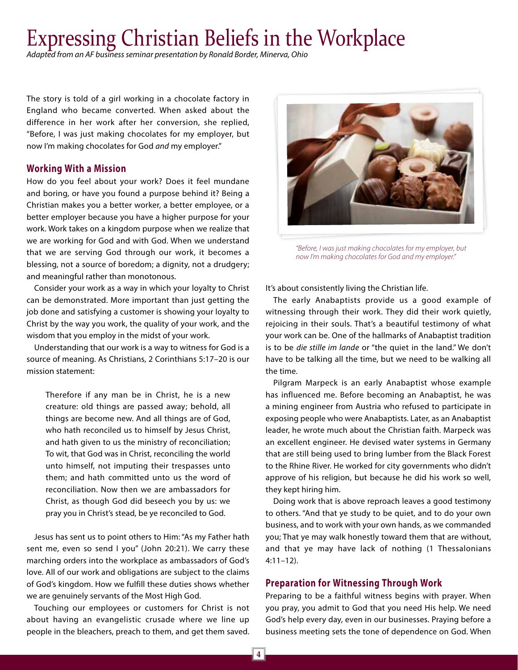### Expressing Christian Beliefs in the Workplace

*Adapted from an AF business seminar presentation by Ronald Border, Minerva, Ohio*

The story is told of a girl working in a chocolate factory in England who became converted. When asked about the difference in her work after her conversion, she replied, "Before, I was just making chocolates for my employer, but now I'm making chocolates for God *and* my employer."

#### **Working With a Mission**

How do you feel about your work? Does it feel mundane and boring, or have you found a purpose behind it? Being a Christian makes you a better worker, a better employee, or a better employer because you have a higher purpose for your work. Work takes on a kingdom purpose when we realize that we are working for God and with God. When we understand that we are serving God through our work, it becomes a blessing, not a source of boredom; a dignity, not a drudgery; and meaningful rather than monotonous.

Consider your work as a way in which your loyalty to Christ can be demonstrated. More important than just getting the job done and satisfying a customer is showing your loyalty to Christ by the way you work, the quality of your work, and the wisdom that you employ in the midst of your work.

Understanding that our work is a way to witness for God is a source of meaning. As Christians, 2 Corinthians 5:17–20 is our mission statement:

Therefore if any man be in Christ, he is a new creature: old things are passed away; behold, all things are become new. And all things are of God, who hath reconciled us to himself by Jesus Christ, and hath given to us the ministry of reconciliation; To wit, that God was in Christ, reconciling the world unto himself, not imputing their trespasses unto them; and hath committed unto us the word of reconciliation. Now then we are ambassadors for Christ, as though God did beseech you by us: we pray you in Christ's stead, be ye reconciled to God.

Jesus has sent us to point others to Him: "As my Father hath sent me, even so send I you" (John 20:21). We carry these marching orders into the workplace as ambassadors of God's love. All of our work and obligations are subject to the claims of God's kingdom. How we fulfill these duties shows whether we are genuinely servants of the Most High God.

Touching our employees or customers for Christ is not about having an evangelistic crusade where we line up people in the bleachers, preach to them, and get them saved.



*"Before, I was just making chocolates for my employer, but now I'm making chocolates for God and my employer."*

It's about consistently living the Christian life.

The early Anabaptists provide us a good example of witnessing through their work. They did their work quietly, rejoicing in their souls. That's a beautiful testimony of what your work can be. One of the hallmarks of Anabaptist tradition is to be *die stille im lande* or "the quiet in the land." We don't have to be talking all the time, but we need to be walking all the time.

Pilgram Marpeck is an early Anabaptist whose example has influenced me. Before becoming an Anabaptist, he was a mining engineer from Austria who refused to participate in exposing people who were Anabaptists. Later, as an Anabaptist leader, he wrote much about the Christian faith. Marpeck was an excellent engineer. He devised water systems in Germany that are still being used to bring lumber from the Black Forest to the Rhine River. He worked for city governments who didn't approve of his religion, but because he did his work so well, they kept hiring him.

Doing work that is above reproach leaves a good testimony to others. "And that ye study to be quiet, and to do your own business, and to work with your own hands, as we commanded you; That ye may walk honestly toward them that are without, and that ye may have lack of nothing (1 Thessalonians 4:11–12).

#### **Preparation for Witnessing Through Work**

Preparing to be a faithful witness begins with prayer. When you pray, you admit to God that you need His help. We need God's help every day, even in our businesses. Praying before a business meeting sets the tone of dependence on God. When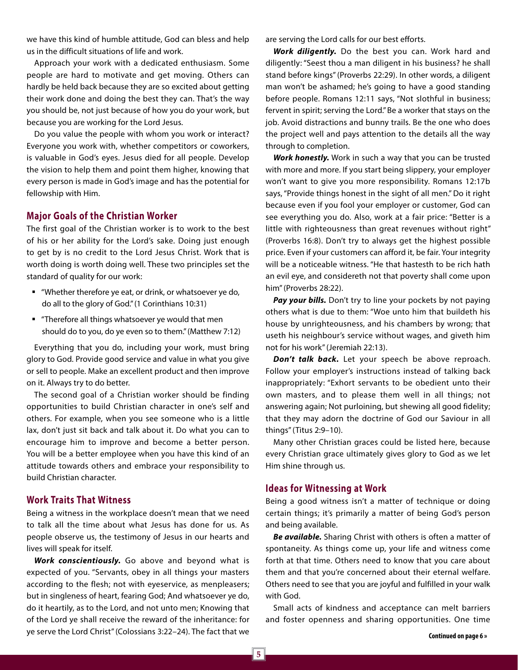we have this kind of humble attitude, God can bless and help us in the difficult situations of life and work.

Approach your work with a dedicated enthusiasm. Some people are hard to motivate and get moving. Others can hardly be held back because they are so excited about getting their work done and doing the best they can. That's the way you should be, not just because of how you do your work, but because you are working for the Lord Jesus.

Do you value the people with whom you work or interact? Everyone you work with, whether competitors or coworkers, is valuable in God's eyes. Jesus died for all people. Develop the vision to help them and point them higher, knowing that every person is made in God's image and has the potential for fellowship with Him.

#### **Major Goals of the Christian Worker**

The first goal of the Christian worker is to work to the best of his or her ability for the Lord's sake. Doing just enough to get by is no credit to the Lord Jesus Christ. Work that is worth doing is worth doing well. These two principles set the standard of quality for our work:

- "Whether therefore ye eat, or drink, or whatsoever ye do, do all to the glory of God." (1 Corinthians 10:31)
- "Therefore all things whatsoever ye would that men should do to you, do ye even so to them." (Matthew 7:12)

Everything that you do, including your work, must bring glory to God. Provide good service and value in what you give or sell to people. Make an excellent product and then improve on it. Always try to do better.

The second goal of a Christian worker should be finding opportunities to build Christian character in one's self and others. For example, when you see someone who is a little lax, don't just sit back and talk about it. Do what you can to encourage him to improve and become a better person. You will be a better employee when you have this kind of an attitude towards others and embrace your responsibility to build Christian character.

#### **Work Traits That Witness**

Being a witness in the workplace doesn't mean that we need to talk all the time about what Jesus has done for us. As people observe us, the testimony of Jesus in our hearts and lives will speak for itself.

*Work conscientiously.* Go above and beyond what is expected of you. "Servants, obey in all things your masters according to the flesh; not with eyeservice, as menpleasers; but in singleness of heart, fearing God; And whatsoever ye do, do it heartily, as to the Lord, and not unto men; Knowing that of the Lord ye shall receive the reward of the inheritance: for ye serve the Lord Christ" (Colossians 3:22–24). The fact that we

are serving the Lord calls for our best efforts.

*Work diligently.* Do the best you can. Work hard and diligently: "Seest thou a man diligent in his business? he shall stand before kings" (Proverbs 22:29). In other words, a diligent man won't be ashamed; he's going to have a good standing before people. Romans 12:11 says, "Not slothful in business; fervent in spirit; serving the Lord." Be a worker that stays on the job. Avoid distractions and bunny trails. Be the one who does the project well and pays attention to the details all the way through to completion.

*Work honestly.* Work in such a way that you can be trusted with more and more. If you start being slippery, your employer won't want to give you more responsibility. Romans 12:17b says, "Provide things honest in the sight of all men." Do it right because even if you fool your employer or customer, God can see everything you do. Also, work at a fair price: "Better is a little with righteousness than great revenues without right" (Proverbs 16:8). Don't try to always get the highest possible price. Even if your customers can afford it, be fair. Your integrity will be a noticeable witness. "He that hastesth to be rich hath an evil eye, and considereth not that poverty shall come upon him" (Proverbs 28:22).

Pay your bills. Don't try to line your pockets by not paying others what is due to them: "Woe unto him that buildeth his house by unrighteousness, and his chambers by wrong; that useth his neighbour's service without wages, and giveth him not for his work" (Jeremiah 22:13).

*Don't talk back.* Let your speech be above reproach. Follow your employer's instructions instead of talking back inappropriately: "Exhort servants to be obedient unto their own masters, and to please them well in all things; not answering again; Not purloining, but shewing all good fidelity; that they may adorn the doctrine of God our Saviour in all things" (Titus 2:9–10).

Many other Christian graces could be listed here, because every Christian grace ultimately gives glory to God as we let Him shine through us.

#### **Ideas for Witnessing at Work**

Being a good witness isn't a matter of technique or doing certain things; it's primarily a matter of being God's person and being available.

*Be available.* Sharing Christ with others is often a matter of spontaneity. As things come up, your life and witness come forth at that time. Others need to know that you care about them and that you're concerned about their eternal welfare. Others need to see that you are joyful and fulfilled in your walk with God.

Small acts of kindness and acceptance can melt barriers and foster openness and sharing opportunities. One time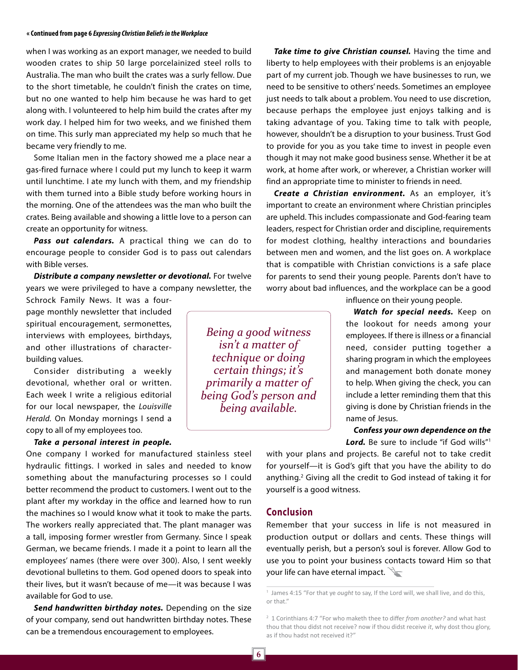#### **« Continued from page 6** *Expressing Christian Beliefs in the Workplace*

when I was working as an export manager, we needed to build wooden crates to ship 50 large porcelainized steel rolls to Australia. The man who built the crates was a surly fellow. Due to the short timetable, he couldn't finish the crates on time, but no one wanted to help him because he was hard to get along with. I volunteered to help him build the crates after my work day. I helped him for two weeks, and we finished them on time. This surly man appreciated my help so much that he became very friendly to me.

Some Italian men in the factory showed me a place near a gas-fired furnace where I could put my lunch to keep it warm until lunchtime. I ate my lunch with them, and my friendship with them turned into a Bible study before working hours in the morning. One of the attendees was the man who built the crates. Being available and showing a little love to a person can create an opportunity for witness.

*Pass out calendars.* A practical thing we can do to encourage people to consider God is to pass out calendars with Bible verses.

*Distribute a company newsletter or devotional.* For twelve years we were privileged to have a company newsletter, the

Schrock Family News. It was a fourpage monthly newsletter that included spiritual encouragement, sermonettes, interviews with employees, birthdays, and other illustrations of characterbuilding values.

Consider distributing a weekly devotional, whether oral or written. Each week I write a religious editorial for our local newspaper, the *Louisville Herald.* On Monday mornings I send a copy to all of my employees too.

*Take a personal interest in people.*

One company I worked for manufactured stainless steel hydraulic fittings. I worked in sales and needed to know something about the manufacturing processes so I could better recommend the product to customers. I went out to the plant after my workday in the office and learned how to run the machines so I would know what it took to make the parts. The workers really appreciated that. The plant manager was a tall, imposing former wrestler from Germany. Since I speak German, we became friends. I made it a point to learn all the employees' names (there were over 300). Also, I sent weekly devotional bulletins to them. God opened doors to speak into their lives, but it wasn't because of me—it was because I was available for God to use.

*Send handwritten birthday notes.* Depending on the size of your company, send out handwritten birthday notes. These can be a tremendous encouragement to employees.

*Being a good witness isn't a matter of technique or doing certain things; it's primarily a matter of being God's person and being available.*

*Take time to give Christian counsel.* Having the time and liberty to help employees with their problems is an enjoyable part of my current job. Though we have businesses to run, we need to be sensitive to others' needs. Sometimes an employee just needs to talk about a problem. You need to use discretion, because perhaps the employee just enjoys talking and is taking advantage of you. Taking time to talk with people, however, shouldn't be a disruption to your business. Trust God to provide for you as you take time to invest in people even though it may not make good business sense. Whether it be at work, at home after work, or wherever, a Christian worker will find an appropriate time to minister to friends in need.

*Create a Christian environment.* As an employer, it's important to create an environment where Christian principles are upheld. This includes compassionate and God-fearing team leaders, respect for Christian order and discipline, requirements for modest clothing, healthy interactions and boundaries between men and women, and the list goes on. A workplace that is compatible with Christian convictions is a safe place for parents to send their young people. Parents don't have to worry about bad influences, and the workplace can be a good

influence on their young people.

*Watch for special needs.* Keep on the lookout for needs among your employees. If there is illness or a financial need, consider putting together a sharing program in which the employees and management both donate money to help. When giving the check, you can include a letter reminding them that this giving is done by Christian friends in the name of Jesus.

*Confess your own dependence on the*  Lord. Be sure to include "if God wills"<sup>1</sup>

with your plans and projects. Be careful not to take credit for yourself—it is God's gift that you have the ability to do anything.<sup>2</sup> Giving all the credit to God instead of taking it for yourself is a good witness.

#### **Conclusion**

Remember that your success in life is not measured in production output or dollars and cents. These things will eventually perish, but a person's soul is forever. Allow God to use you to point your business contacts toward Him so that your life can have eternal impact.

<sup>&</sup>lt;sup>1</sup> James 4:15 "For that ye *ought* to say, If the Lord will, we shall live, and do this, or that."

<sup>2</sup> 1 Corinthians 4:7 "For who maketh thee to differ *from another?* and what hast thou that thou didst not receive? now if thou didst receive *it*, why dost thou glory, as if thou hadst not received it?"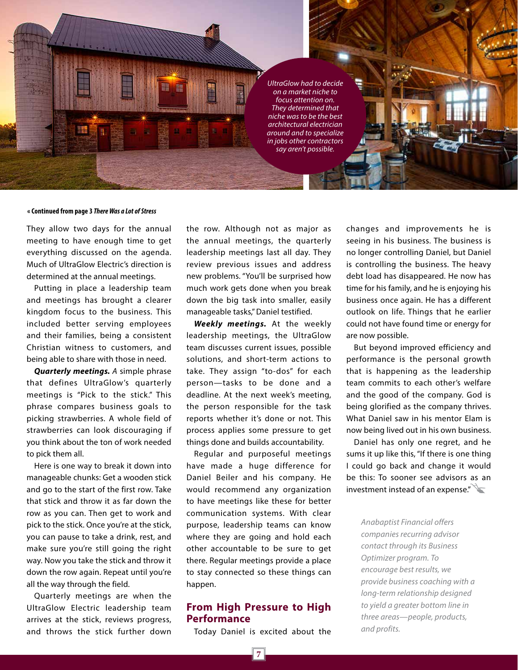*UltraGlow had to decide on a market niche to focus attention on. They determined that niche was to be the best architectural electrician around and to specialize in jobs other contractors say aren't possible.*

#### **« Continued from page 3** *There Was a Lot of Stress*

轟

謂 m

They allow two days for the annual meeting to have enough time to get everything discussed on the agenda. Much of UltraGlow Electric's direction is determined at the annual meetings.

Putting in place a leadership team and meetings has brought a clearer kingdom focus to the business. This included better serving employees and their families, being a consistent Christian witness to customers, and being able to share with those in need.

*Quarterly meetings. A* simple phrase that defines UltraGlow's quarterly meetings is "Pick to the stick." This phrase compares business goals to picking strawberries. A whole field of strawberries can look discouraging if you think about the ton of work needed to pick them all.

Here is one way to break it down into manageable chunks: Get a wooden stick and go to the start of the first row. Take that stick and throw it as far down the row as you can. Then get to work and pick to the stick. Once you're at the stick, you can pause to take a drink, rest, and make sure you're still going the right way. Now you take the stick and throw it down the row again. Repeat until you're all the way through the field.

Quarterly meetings are when the UltraGlow Electric leadership team arrives at the stick, reviews progress, and throws the stick further down the row. Although not as major as the annual meetings, the quarterly leadership meetings last all day. They review previous issues and address new problems. "You'll be surprised how much work gets done when you break down the big task into smaller, easily manageable tasks," Daniel testified.

*Weekly meetings.* At the weekly leadership meetings, the UltraGlow team discusses current issues, possible solutions, and short-term actions to take. They assign "to-dos" for each person—tasks to be done and a deadline. At the next week's meeting, the person responsible for the task reports whether it's done or not. This process applies some pressure to get things done and builds accountability.

Regular and purposeful meetings have made a huge difference for Daniel Beiler and his company. He would recommend any organization to have meetings like these for better communication systems. With clear purpose, leadership teams can know where they are going and hold each other accountable to be sure to get there. Regular meetings provide a place to stay connected so these things can happen.

#### **From High Pressure to High Performance**

Today Daniel is excited about the

changes and improvements he is seeing in his business. The business is no longer controlling Daniel, but Daniel is controlling the business. The heavy debt load has disappeared. He now has time for his family, and he is enjoying his business once again. He has a different outlook on life. Things that he earlier could not have found time or energy for are now possible.

But beyond improved efficiency and performance is the personal growth that is happening as the leadership team commits to each other's welfare and the good of the company. God is being glorified as the company thrives. What Daniel saw in his mentor Elam is now being lived out in his own business.

Daniel has only one regret, and he sums it up like this, "If there is one thing I could go back and change it would be this: To sooner see advisors as an investment instead of an expense."

*Anabaptist Financial offers companies recurring advisor contact through its Business Optimizer program. To encourage best results, we provide business coaching with a long-term relationship designed to yield a greater bottom line in three areas—people, products, and profits.*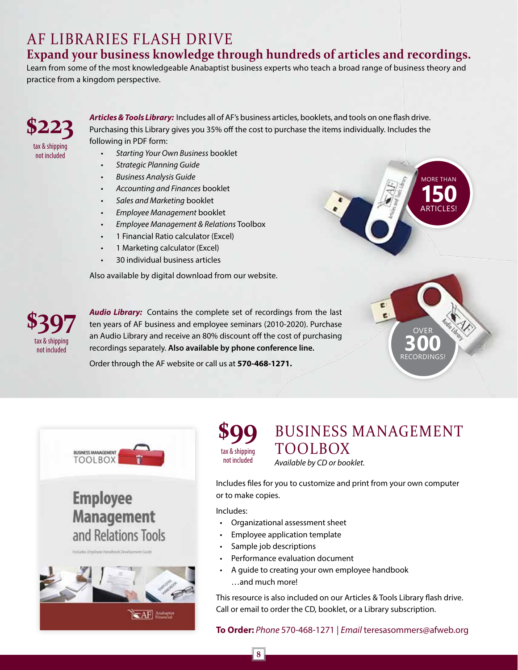### AF LIBRARIES FLASH DRIVE

#### **Expand your business knowledge through hundreds of articles and recordings.**

Learn from some of the most knowledgeable Anabaptist business experts who teach a broad range of business theory and practice from a kingdom perspective.

### **\$223** tax & shipping

not included

*Articles & Tools Library:* Includes all of AF's business articles, booklets, and tools on one flash drive. Purchasing this Library gives you 35% off the cost to purchase the items individually. Includes the following in PDF form:

- *• Starting Your Own Business* booklet
- *• Strategic Planning Guide*
- *• Business Analysis Guide*
- *• Accounting and Finances* booklet
- *• Sales and Marketing* booklet
- *• Employee Management* booklet
- *• Employee Management & Relations* Toolbox
- 1 Financial Ratio calculator (Excel)
- 1 Marketing calculator (Excel)
- 30 individual business articles

Also available by digital download from our website.



*Audio Library:* Contains the complete set of recordings from the last ten years of AF business and employee seminars (2010-2020). Purchase an Audio Library and receive an 80% discount off the cost of purchasing recordings separately. **Also available by phone conference line.** 

Order through the AF website or call us at **570-468-1271.**



OVER **300** RECORDINGS!



**BUSINESS MANAGEMENT TOOLBOX Employee Management** and Relations Tools **CAF**  **\$99** tax & shipping not included

BUSINESS MANAGEMENT TOOLBOX *Available by CD or booklet.* 

Includes files for you to customize and print from your own computer or to make copies.

Includes:

- Organizational assessment sheet
- Employee application template
- Sample job descriptions
- Performance evaluation document
- A guide to creating your own employee handbook …and much more!

This resource is also included on our Articles & Tools Library flash drive. Call or email to order the CD, booklet, or a Library subscription.

#### **To Order:** *Phone* 570-468-1271 | *Email* teresasommers@afweb.org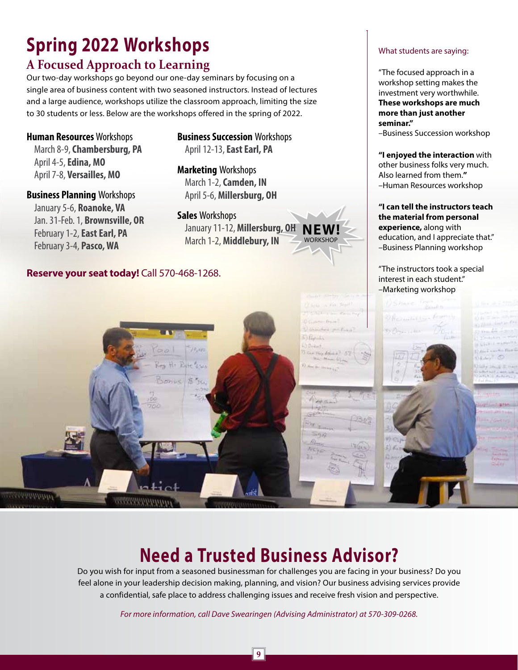## **Spring 2022 Workshops**

### **A Focused Approach to Learning**

Our two-day workshops go beyond our one-day seminars by focusing on a single area of business content with two seasoned instructors. Instead of lectures and a large audience, workshops utilize the classroom approach, limiting the size to 30 students or less. Below are the workshops offered in the spring of 2022.

**Human Resources** Workshops March 8-9, **Chambersburg, PA** April 4-5, **Edina, MO** April 7-8, **Versailles, MO**

**Business Planning** Workshops January 5-6, **Roanoke, VA** Jan. 31-Feb. 1, **Brownsville, OR** February 1-2, **East Earl, PA** February 3-4, **Pasco, WA**

**Mohnholder** 

**Business Succession** Workshops April 12-13, **East Earl, PA**

**Marketing** Workshops March 1-2, **Camden, IN** April 5-6, **Millersburg, OH**

**Sales** Workshops January 11-12, **Millersburg, OH** March 1-2, **Middlebury, IN**

**NEW! WORKSHOP** 

#### **Reserve your seat today!** Call 570-468-1268.

#### What students are saying:

"The focused approach in a workshop setting makes the investment very worthwhile. **These workshops are much more than just another seminar."** 

–Business Succession workshop

**"I enjoyed the interaction** with other business folks very much. Also learned from them.**"** –Human Resources workshop

#### **"I can tell the instructors teach the material from personal experience,** along with education, and I appreciate that." –Business Planning workshop

"The instructors took a special interest in each student." –Marketing workshop



### **Need a Trusted Business Advisor?**

Do you wish for input from a seasoned businessman for challenges you are facing in your business? Do you feel alone in your leadership decision making, planning, and vision? Our business advising services provide a confidential, safe place to address challenging issues and receive fresh vision and perspective.

*For more information, call Dave Swearingen (Advising Administrator) at 570-309-0268.*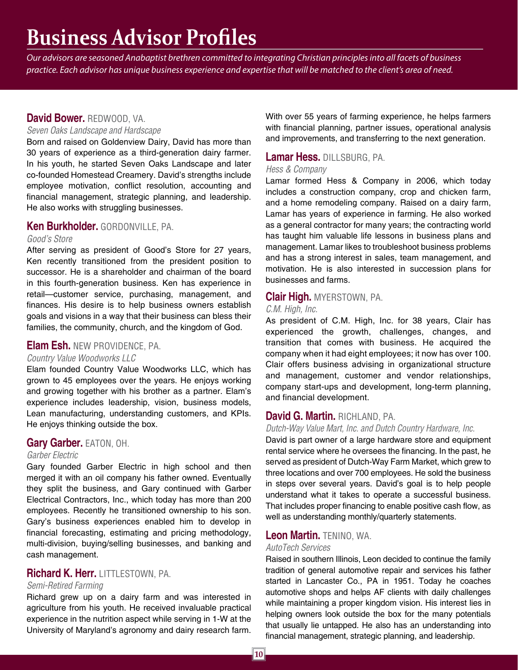### **Business Advisor Profiles**

*Our advisors are seasoned Anabaptist brethren committed to integrating Christian principles into all facets of business practice. Each advisor has unique business experience and expertise that will be matched to the client's area of need.* 

#### **David Bower.** REDWOOD, VA.

#### *Seven Oaks Landscape and Hardscape*

Born and raised on Goldenview Dairy, David has more than 30 years of experience as a third-generation dairy farmer. In his youth, he started Seven Oaks Landscape and later co-founded Homestead Creamery. David's strengths include employee motivation, conflict resolution, accounting and financial management, strategic planning, and leadership. He also works with struggling businesses.

#### **Ken Burkholder.** GORDONVILLE, PA.

#### *Good's Store*

After serving as president of Good's Store for 27 years, Ken recently transitioned from the president position to successor. He is a shareholder and chairman of the board in this fourth-generation business. Ken has experience in retail—customer service, purchasing, management, and finances. His desire is to help business owners establish goals and visions in a way that their business can bless their families, the community, church, and the kingdom of God.

#### **Elam Esh.** NEW PROVIDENCE, PA.

#### *Country Value Woodworks LLC*

Elam founded Country Value Woodworks LLC, which has grown to 45 employees over the years. He enjoys working and growing together with his brother as a partner. Elam's experience includes leadership, vision, business models, Lean manufacturing, understanding customers, and KPIs. He enjoys thinking outside the box.

#### **Gary Garber.** EATON, OH.

#### *Garber Electric*

Gary founded Garber Electric in high school and then merged it with an oil company his father owned. Eventually they split the business, and Gary continued with Garber Electrical Contractors, Inc., which today has more than 200 employees. Recently he transitioned ownership to his son. Gary's business experiences enabled him to develop in financial forecasting, estimating and pricing methodology, multi-division, buying/selling businesses, and banking and cash management.

#### **Richard K. Herr.** LITTLESTOWN, PA.

#### *Semi-Retired Farming*

Richard grew up on a dairy farm and was interested in agriculture from his youth. He received invaluable practical experience in the nutrition aspect while serving in 1-W at the University of Maryland's agronomy and dairy research farm.

With over 55 years of farming experience, he helps farmers with financial planning, partner issues, operational analysis and improvements, and transferring to the next generation.

#### **Lamar Hess.** DILLSBURG, PA.

#### *Hess & Company*

Lamar formed Hess & Company in 2006, which today includes a construction company, crop and chicken farm, and a home remodeling company. Raised on a dairy farm, Lamar has years of experience in farming. He also worked as a general contractor for many years; the contracting world has taught him valuable life lessons in business plans and management. Lamar likes to troubleshoot business problems and has a strong interest in sales, team management, and motivation. He is also interested in succession plans for businesses and farms.

#### **Clair High.** MYERSTOWN, PA.

#### *C.M. High, Inc.*

As president of C.M. High, Inc. for 38 years, Clair has experienced the growth, challenges, changes, and transition that comes with business. He acquired the company when it had eight employees; it now has over 100. Clair offers business advising in organizational structure and management, customer and vendor relationships, company start-ups and development, long-term planning, and financial development.

#### **David G. Martin.** RICHLAND, PA.

#### *Dutch-Way Value Mart, Inc. and Dutch Country Hardware, Inc.*

David is part owner of a large hardware store and equipment rental service where he oversees the financing. In the past, he served as president of Dutch-Way Farm Market, which grew to three locations and over 700 employees. He sold the business in steps over several years. David's goal is to help people understand what it takes to operate a successful business. That includes proper financing to enable positive cash flow, as well as understanding monthly/quarterly statements.

#### **Leon Martin.** TENINO, WA.

#### *AutoTech Services*

Raised in southern Illinois, Leon decided to continue the family tradition of general automotive repair and services his father started in Lancaster Co., PA in 1951. Today he coaches automotive shops and helps AF clients with daily challenges while maintaining a proper kingdom vision. His interest lies in helping owners look outside the box for the many potentials that usually lie untapped. He also has an understanding into financial management, strategic planning, and leadership.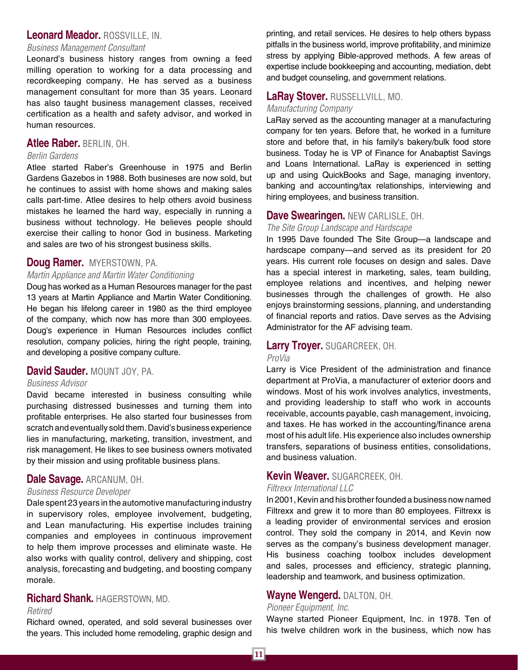#### **Leonard Meador.** ROSSVILLE, IN.

#### *Business Management Consultant*

Leonard's business history ranges from owning a feed milling operation to working for a data processing and recordkeeping company. He has served as a business management consultant for more than 35 years. Leonard has also taught business management classes, received certification as a health and safety advisor, and worked in human resources.

#### **Atlee Raber.** BERLIN, OH.

#### *Berlin Gardens*

Atlee started Raber's Greenhouse in 1975 and Berlin Gardens Gazebos in 1988. Both busineses are now sold, but he continues to assist with home shows and making sales calls part-time. Atlee desires to help others avoid business mistakes he learned the hard way, especially in running a business without technology. He believes people should exercise their calling to honor God in business. Marketing and sales are two of his strongest business skills.

#### **Doug Ramer.** MYERSTOWN, PA.

#### *Martin Appliance and Martin Water Conditioning*

Doug has worked as a Human Resources manager for the past 13 years at Martin Appliance and Martin Water Conditioning. He began his lifelong career in 1980 as the third employee of the company, which now has more than 300 employees. Doug's experience in Human Resources includes conflict resolution, company policies, hiring the right people, training, and developing a positive company culture.

#### **David Sauder.** MOUNT JOY, PA.

#### *Business Advisor*

David became interested in business consulting while purchasing distressed businesses and turning them into profitable enterprises. He also started four businesses from scratch and eventually sold them. David's business experience lies in manufacturing, marketing, transition, investment, and risk management. He likes to see business owners motivated by their mission and using profitable business plans.

#### **Dale Savage.** ARCANUM, OH.

#### *Business Resource Developer*

Dale spent 23 years in the automotive manufacturing industry in supervisory roles, employee involvement, budgeting, and Lean manufacturing. His expertise includes training companies and employees in continuous improvement to help them improve processes and eliminate waste. He also works with quality control, delivery and shipping, cost analysis, forecasting and budgeting, and boosting company morale.

#### **Richard Shank.** HAGERSTOWN, MD.

#### *Retired*

Richard owned, operated, and sold several businesses over the years. This included home remodeling, graphic design and printing, and retail services. He desires to help others bypass pitfalls in the business world, improve profitability, and minimize stress by applying Bible-approved methods. A few areas of expertise include bookkeeping and accounting, mediation, debt and budget counseling, and government relations.

#### **LaRay Stover.** RUSSELLVILL, MO.

#### *Manufacturing Company*

LaRay served as the accounting manager at a manufacturing company for ten years. Before that, he worked in a furniture store and before that, in his family's bakery/bulk food store business. Today he is VP of Finance for Anabaptist Savings and Loans International. LaRay is experienced in setting up and using QuickBooks and Sage, managing inventory, banking and accounting/tax relationships, interviewing and hiring employees, and business transition.

#### **Dave Swearingen.** NEW CARLISLE, OH.

#### *The Site Group Landscape and Hardscape*

In 1995 Dave founded The Site Group—a landscape and hardscape company—and served as its president for 20 years. His current role focuses on design and sales. Dave has a special interest in marketing, sales, team building, employee relations and incentives, and helping newer businesses through the challenges of growth. He also enjoys brainstorming sessions, planning, and understanding of financial reports and ratios. Dave serves as the Advising Administrator for the AF advising team.

#### **Larry Troyer.** SUGARCREEK, OH.

#### *ProVia*

Larry is Vice President of the administration and finance department at ProVia, a manufacturer of exterior doors and windows. Most of his work involves analytics, investments, and providing leadership to staff who work in accounts receivable, accounts payable, cash management, invoicing, and taxes. He has worked in the accounting/finance arena most of his adult life. His experience also includes ownership transfers, separations of business entities, consolidations, and business valuation.

#### **Kevin Weaver.** SUGARCREEK, OH.

#### *Filtrexx International LLC*

In 2001, Kevin and his brother founded a business now named Filtrexx and grew it to more than 80 employees. Filtrexx is a leading provider of environmental services and erosion control. They sold the company in 2014, and Kevin now serves as the company's business development manager. His business coaching toolbox includes development and sales, processes and efficiency, strategic planning, leadership and teamwork, and business optimization.

#### **Wayne Wengerd.** DALTON, OH.

#### *Pioneer Equipment, Inc.*

Wayne started Pioneer Equipment, Inc. in 1978. Ten of his twelve children work in the business, which now has